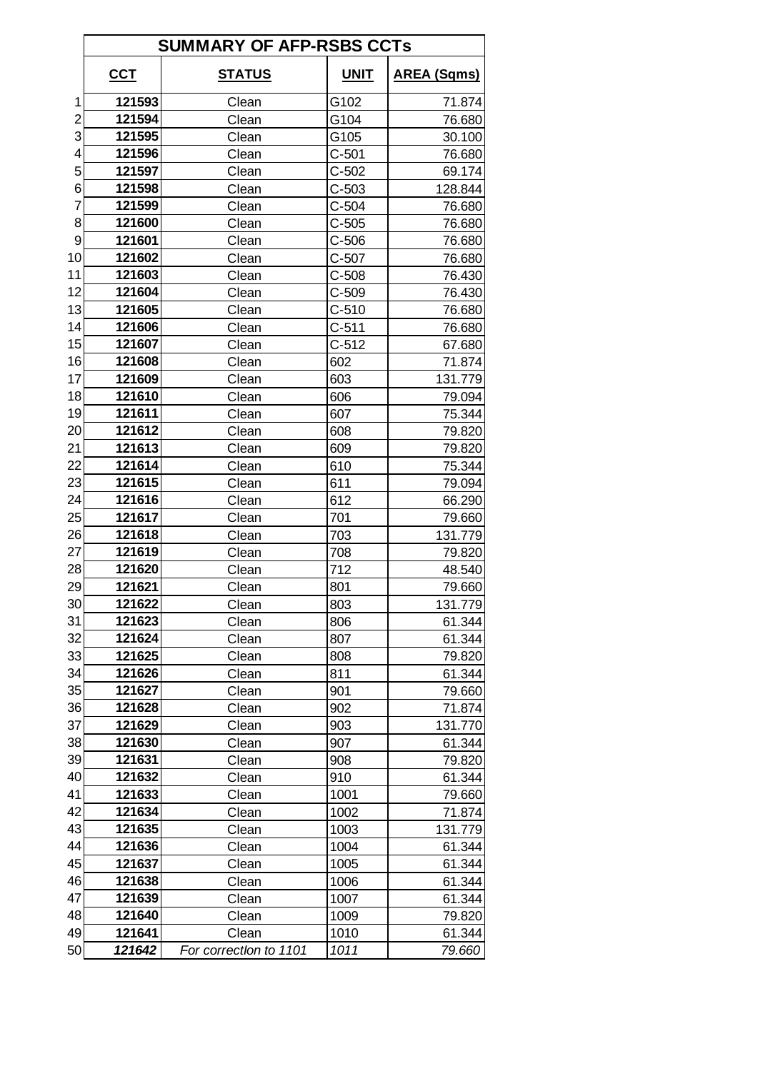|                 | <b>SUMMARY OF AFP-RSBS CCTs</b> |                        |             |                    |  |
|-----------------|---------------------------------|------------------------|-------------|--------------------|--|
|                 | $cc$                            | <u>STATUS</u>          | <b>UNIT</b> | <u>AREA (Sqms)</u> |  |
| 1               | 121593                          | Clean                  | G102        | 71.874             |  |
| 2               | 121594                          | Clean                  | G104        | 76.680             |  |
| 3               | 121595                          | Clean                  | G105        | 30.100             |  |
| 4               | 121596                          | Clean                  | $C-501$     | 76.680             |  |
| 5               | 121597                          | Clean                  | $C-502$     | 69.174             |  |
| 6               | 121598                          | Clean                  | $C-503$     | 128.844            |  |
| 7               | 121599                          | Clean                  | $C-504$     | 76.680             |  |
| 8               | 121600                          | Clean                  | $C-505$     | 76.680             |  |
| 9               | 121601                          | Clean                  | $C-506$     | 76.680             |  |
| 10              | 121602                          | Clean                  | $C-507$     | 76.680             |  |
| 11              | 121603                          | Clean                  | $C-508$     | 76.430             |  |
| 12              | 121604                          | Clean                  | $C-509$     | 76.430             |  |
| 13              | 121605                          | Clean                  | $C-510$     | 76.680             |  |
| 14              | 121606                          | Clean                  | $C-511$     | 76.680             |  |
| 15              | 121607                          | Clean                  | $C-512$     | 67.680             |  |
| 16              | 121608                          | Clean                  | 602         | 71.874             |  |
| 17              | 121609                          | Clean                  | 603         | 131.779            |  |
| 18              | 121610                          | Clean                  | 606         | 79.094             |  |
| 19              | 121611                          | Clean                  | 607         | 75.344             |  |
| 20              | 121612                          | Clean                  | 608         | 79.820             |  |
| 21              | 121613                          | Clean                  | 609         | 79.820             |  |
| 22              | 121614                          | Clean                  | 610         | 75.344             |  |
| 23              | 121615                          | Clean                  | 611         | 79.094             |  |
| 24              | 121616                          | Clean                  | 612         | 66.290             |  |
| 25              | 121617                          | Clean                  | 701         | 79.660             |  |
| 26              | 121618                          | Clean                  | 703         | 131.779            |  |
| 27              | 121619                          | Clean                  | 708         | 79.820             |  |
| 28              | 121620                          | Clean                  | 712         | 48.540             |  |
| 29              | 121621                          | Clean                  | 801         | 79.660             |  |
| 30 <sup>°</sup> | 121622                          | Clean                  | 803         | 131.779            |  |
| 31              | 121623                          | Clean                  | 806         | 61.344             |  |
| 32              | 121624                          | Clean                  | 807         | 61.344             |  |
| 33              | 121625                          | Clean                  | 808         | 79.820             |  |
| 34              | 121626                          | Clean                  | 811         | 61.344             |  |
| 35              | 121627                          | Clean                  | 901         | 79.660             |  |
| 36              | 121628                          | Clean                  | 902         | 71.874             |  |
| 37              | 121629                          | Clean                  | 903         | 131.770            |  |
| 38              | 121630                          | Clean                  | 907         | 61.344             |  |
| 39              | 121631                          | Clean                  | 908         | 79.820             |  |
| 40              | 121632                          | Clean                  | 910         | 61.344             |  |
| 41              | 121633                          | Clean                  | 1001        | 79.660             |  |
| 42              | 121634                          | Clean                  | 1002        | 71.874             |  |
| 43              | 121635                          | Clean                  | 1003        | 131.779            |  |
| 44              | 121636                          | Clean                  | 1004        | 61.344             |  |
| 45              | 121637                          | Clean                  | 1005        | 61.344             |  |
| 46              | 121638                          | Clean                  | 1006        | 61.344             |  |
| 47              | 121639                          | Clean                  | 1007        | 61.344             |  |
| 48              | 121640                          | Clean                  | 1009        | 79.820             |  |
| 49              | 121641                          | Clean                  | 1010        | 61.344             |  |
| 50              | 121642                          | For correction to 1101 | 1011        | 79.660             |  |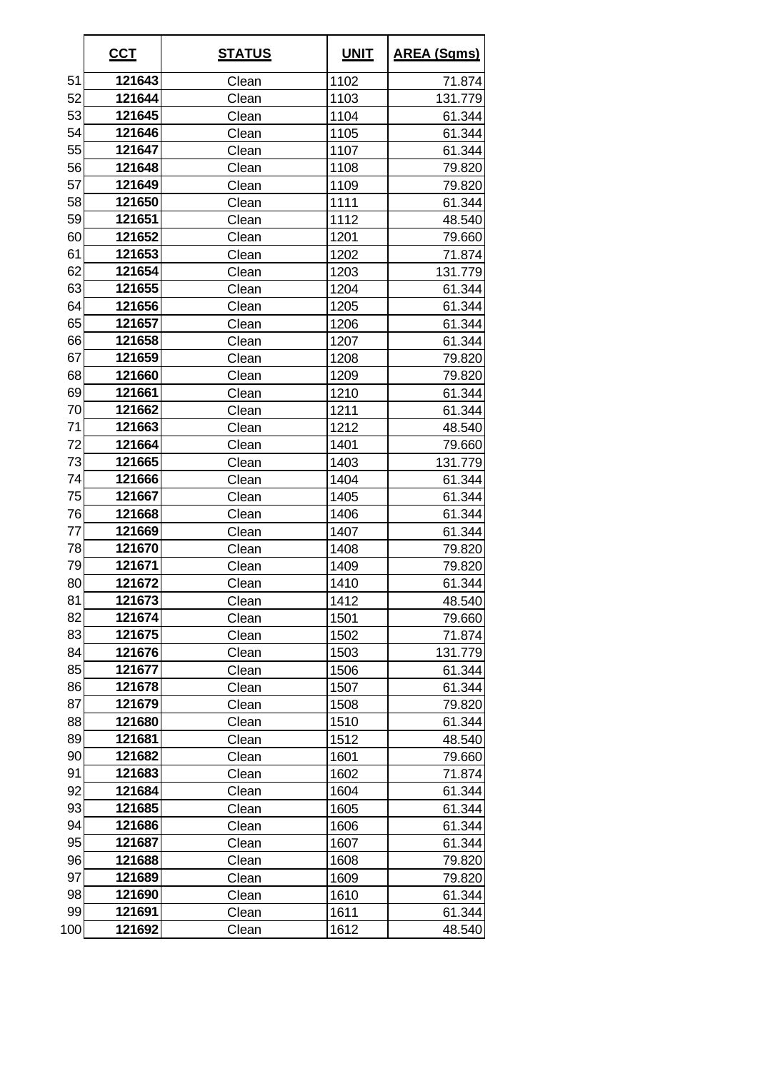|     | <u>CCT</u> | <b>STATUS</b> | <b>UNIT</b> | <b>AREA (Sqms)</b> |
|-----|------------|---------------|-------------|--------------------|
| 51  | 121643     | Clean         | 1102        | 71.874             |
| 52  | 121644     | Clean         | 1103        | 131.779            |
| 53  | 121645     | Clean         | 1104        | 61.344             |
| 54  | 121646     | Clean         | 1105        | 61.344             |
| 55  | 121647     | Clean         | 1107        | 61.344             |
| 56  | 121648     | Clean         | 1108        | 79.820             |
| 57  | 121649     | Clean         | 1109        | 79.820             |
| 58  | 121650     | Clean         | 1111        | 61.344             |
| 59  | 121651     | Clean         | 1112        | 48.540             |
| 60  | 121652     | Clean         | 1201        | 79.660             |
| 61  | 121653     | Clean         | 1202        | 71.874             |
| 62  | 121654     | Clean         | 1203        | 131.779            |
| 63  | 121655     | Clean         | 1204        | 61.344             |
| 64  | 121656     | Clean         | 1205        | 61.344             |
| 65  | 121657     | Clean         | 1206        | 61.344             |
| 66  | 121658     | Clean         | 1207        | 61.344             |
| 67  | 121659     | Clean         | 1208        | 79.820             |
| 68  | 121660     | Clean         | 1209        | 79.820             |
| 69  | 121661     | Clean         | 1210        | 61.344             |
| 70  | 121662     | Clean         | 1211        | 61.344             |
| 71  | 121663     | Clean         | 1212        | 48.540             |
| 72  | 121664     | Clean         | 1401        | 79.660             |
| 73  | 121665     | Clean         | 1403        | 131.779            |
| 74  | 121666     | Clean         | 1404        | 61.344             |
| 75  | 121667     | Clean         | 1405        | 61.344             |
| 76  | 121668     | Clean         | 1406        | 61.344             |
| 77  | 121669     | Clean         | 1407        | 61.344             |
| 78  | 121670     | Clean         | 1408        | 79.820             |
| 79  | 121671     | Clean         | 1409        | 79.820             |
| 80  | 121672     | Clean         | 1410        | 61.344             |
| 81  | 121673     | Clean         | 1412        | 48.540             |
| 82  | 121674     | Clean         | 1501        | 79.660             |
| 83  | 121675     | Clean         | 1502        | 71.874             |
| 84  | 121676     | Clean         | 1503        | 131.779            |
| 85  | 121677     | Clean         | 1506        | 61.344             |
| 86  | 121678     | Clean         | 1507        | 61.344             |
| 87  | 121679     | Clean         | 1508        | 79.820             |
| 88  | 121680     | Clean         | 1510        | 61.344             |
| 89  | 121681     | Clean         | 1512        | 48.540             |
| 90  | 121682     | Clean         | 1601        | 79.660             |
| 91  | 121683     | Clean         | 1602        | 71.874             |
| 92  | 121684     | Clean         | 1604        | 61.344             |
| 93  | 121685     | Clean         | 1605        | 61.344             |
| 94  | 121686     | Clean         | 1606        | 61.344             |
| 95  | 121687     | Clean         | 1607        | 61.344             |
| 96  | 121688     | Clean         | 1608        | 79.820             |
| 97  | 121689     | Clean         | 1609        | 79.820             |
| 98  | 121690     | Clean         | 1610        | 61.344             |
| 99  | 121691     | Clean         | 1611        | 61.344             |
| 100 | 121692     | Clean         | 1612        | 48.540             |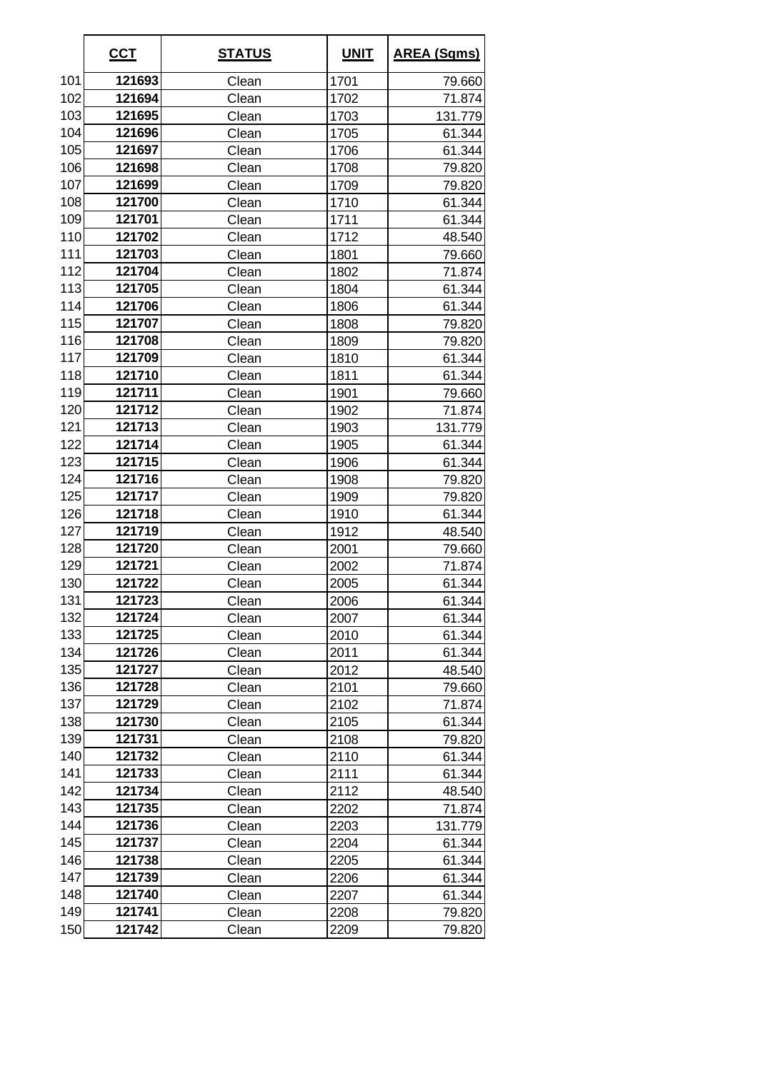|     | <u>CCT</u> | <u>STATUS</u> | <b>UNIT</b> | <b>AREA (Sqms)</b> |
|-----|------------|---------------|-------------|--------------------|
| 101 | 121693     | Clean         | 1701        | 79.660             |
| 102 | 121694     | Clean         | 1702        | 71.874             |
| 103 | 121695     | Clean         | 1703        | 131.779            |
| 104 | 121696     | Clean         | 1705        | 61.344             |
| 105 | 121697     | Clean         | 1706        | 61.344             |
| 106 | 121698     | Clean         | 1708        | 79.820             |
| 107 | 121699     | Clean         | 1709        | 79.820             |
| 108 | 121700     | Clean         | 1710        | 61.344             |
| 109 | 121701     | Clean         | 1711        | 61.344             |
| 110 | 121702     | Clean         | 1712        | 48.540             |
| 111 | 121703     | Clean         | 1801        | 79.660             |
| 112 | 121704     | Clean         | 1802        | 71.874             |
| 113 | 121705     | Clean         | 1804        | 61.344             |
| 114 | 121706     | Clean         | 1806        | 61.344             |
| 115 | 121707     | Clean         | 1808        | 79.820             |
| 116 | 121708     | Clean         | 1809        | 79.820             |
| 117 | 121709     | Clean         | 1810        | 61.344             |
| 118 | 121710     | Clean         | 1811        | 61.344             |
| 119 | 121711     | Clean         | 1901        | 79.660             |
| 120 | 121712     | Clean         | 1902        | 71.874             |
| 121 | 121713     | Clean         | 1903        | 131.779            |
| 122 | 121714     | Clean         | 1905        | 61.344             |
| 123 | 121715     | Clean         | 1906        | 61.344             |
| 124 | 121716     | Clean         | 1908        | 79.820             |
| 125 | 121717     | Clean         | 1909        | 79.820             |
| 126 | 121718     | Clean         | 1910        | 61.344             |
| 127 | 121719     | Clean         | 1912        | 48.540             |
| 128 | 121720     | Clean         | 2001        | 79.660             |
| 129 | 121721     | Clean         | 2002        | 71.874             |
| 130 | 121722     | Clean         | 2005        | 61.344             |
| 131 | 121723     | Clean         | 2006        | 61.344             |
| 132 | 121724     | Clean         | 2007        | 61.344             |
| 133 | 121725     | Clean         | 2010        | 61.344             |
| 134 | 121726     | Clean         | 2011        | 61.344             |
| 135 | 121727     | Clean         | 2012        | 48.540             |
| 136 | 121728     | Clean         | 2101        | 79.660             |
| 137 | 121729     | Clean         | 2102        | 71.874             |
| 138 | 121730     | Clean         | 2105        | 61.344             |
| 139 | 121731     | Clean         | 2108        | 79.820             |
| 140 | 121732     | Clean         | 2110        | 61.344             |
| 141 | 121733     | Clean         | 2111        | 61.344             |
| 142 | 121734     | Clean         | 2112        | 48.540             |
| 143 | 121735     | Clean         | 2202        | 71.874             |
| 144 | 121736     | Clean         | 2203        | 131.779            |
| 145 | 121737     | Clean         | 2204        | 61.344             |
| 146 | 121738     | Clean         | 2205        | 61.344             |
| 147 | 121739     | Clean         | 2206        | 61.344             |
| 148 | 121740     | Clean         | 2207        | 61.344             |
| 149 | 121741     | Clean         | 2208        | 79.820             |
| 150 | 121742     | Clean         | 2209        | 79.820             |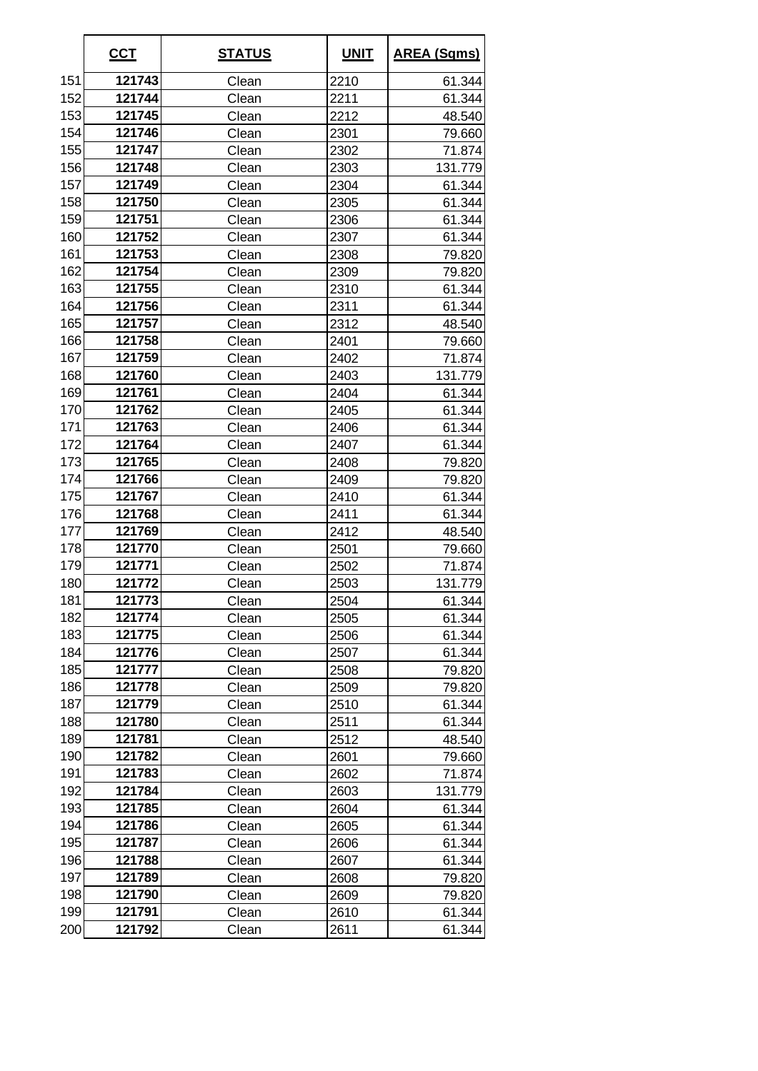|     | <u>CCT</u> | <u>STATUS</u> | <b>UNIT</b> | <b>AREA (Sqms)</b> |
|-----|------------|---------------|-------------|--------------------|
| 151 | 121743     | Clean         | 2210        | 61.344             |
| 152 | 121744     | Clean         | 2211        | 61.344             |
| 153 | 121745     | Clean         | 2212        | 48.540             |
| 154 | 121746     | Clean         | 2301        | 79.660             |
| 155 | 121747     | Clean         | 2302        | 71.874             |
| 156 | 121748     | Clean         | 2303        | 131.779            |
| 157 | 121749     | Clean         | 2304        | 61.344             |
| 158 | 121750     | Clean         | 2305        | 61.344             |
| 159 | 121751     | Clean         | 2306        | 61.344             |
| 160 | 121752     | Clean         | 2307        | 61.344             |
| 161 | 121753     | Clean         | 2308        | 79.820             |
| 162 | 121754     | Clean         | 2309        | 79.820             |
| 163 | 121755     | Clean         | 2310        | 61.344             |
| 164 | 121756     | Clean         | 2311        | 61.344             |
| 165 | 121757     | Clean         | 2312        | 48.540             |
| 166 | 121758     | Clean         | 2401        | 79.660             |
| 167 | 121759     | Clean         | 2402        | 71.874             |
| 168 | 121760     | Clean         | 2403        | 131.779            |
| 169 | 121761     | Clean         | 2404        | 61.344             |
| 170 | 121762     | Clean         | 2405        | 61.344             |
| 171 | 121763     | Clean         | 2406        | 61.344             |
| 172 | 121764     | Clean         | 2407        | 61.344             |
| 173 | 121765     | Clean         | 2408        | 79.820             |
| 174 | 121766     | Clean         | 2409        | 79.820             |
| 175 | 121767     | Clean         | 2410        | 61.344             |
| 176 | 121768     | Clean         | 2411        | 61.344             |
| 177 | 121769     | Clean         | 2412        | 48.540             |
| 178 | 121770     | Clean         | 2501        | 79.660             |
| 179 | 121771     | Clean         | 2502        | 71.874             |
| 180 | 121772     | Clean         | 2503        | 131.779            |
| 181 | 121773     | Clean         | 2504        | 61.344             |
| 182 | 121774     | Clean         | 2505        | 61.344             |
| 183 | 121775     | Clean         | 2506        | 61.344             |
| 184 | 121776     | Clean         | 2507        | 61.344             |
| 185 | 121777     | Clean         | 2508        | 79.820             |
| 186 | 121778     | Clean         | 2509        | 79.820             |
| 187 | 121779     | Clean         | 2510        | 61.344             |
| 188 | 121780     | Clean         | 2511        | 61.344             |
| 189 | 121781     | Clean         | 2512        | 48.540             |
| 190 | 121782     | Clean         | 2601        | 79.660             |
| 191 | 121783     | Clean         | 2602        | 71.874             |
| 192 | 121784     | Clean         | 2603        | 131.779            |
| 193 | 121785     | Clean         | 2604        | 61.344             |
| 194 | 121786     | Clean         | 2605        | 61.344             |
| 195 | 121787     | Clean         | 2606        | 61.344             |
| 196 | 121788     | Clean         | 2607        | 61.344             |
| 197 | 121789     | Clean         | 2608        | 79.820             |
| 198 | 121790     | Clean         | 2609        | 79.820             |
| 199 | 121791     | Clean         | 2610        | 61.344             |
| 200 | 121792     | Clean         | 2611        | 61.344             |